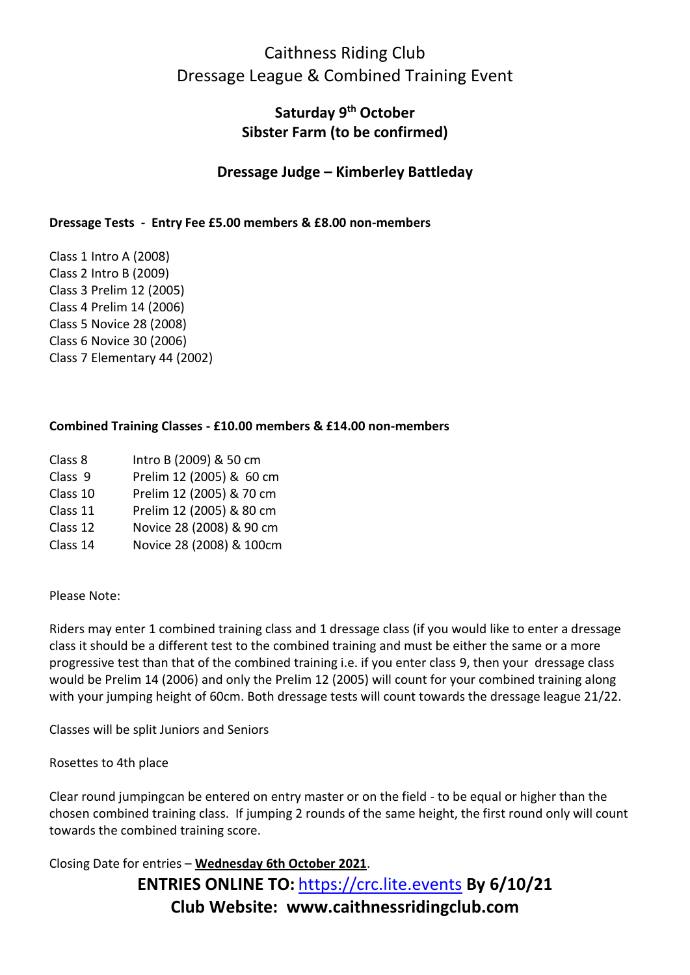## Caithness Riding Club Dressage League & Combined Training Event

### **Saturday 9th October Sibster Farm (to be confirmed)**

### **Dressage Judge – Kimberley Battleday**

#### **Dressage Tests - Entry Fee £5.00 members & £8.00 non-members**

Class 1 Intro A (2008) Class 2 Intro B (2009) Class 3 Prelim 12 (2005) Class 4 Prelim 14 (2006) Class 5 Novice 28 (2008) Class 6 Novice 30 (2006) Class 7 Elementary 44 (2002)

#### **Combined Training Classes - £10.00 members & £14.00 non-members**

- Class 8 Intro B (2009) & 50 cm
- Class 9 Prelim 12 (2005) & 60 cm
- Class 10 Prelim 12 (2005) & 70 cm
- Class 11 Prelim 12 (2005) & 80 cm
- Class 12 Novice 28 (2008) & 90 cm
- Class 14 Novice 28 (2008) & 100cm

Please Note:

Riders may enter 1 combined training class and 1 dressage class (if you would like to enter a dressage class it should be a different test to the combined training and must be either the same or a more progressive test than that of the combined training i.e. if you enter class 9, then your dressage class would be Prelim 14 (2006) and only the Prelim 12 (2005) will count for your combined training along with your jumping height of 60cm. Both dressage tests will count towards the dressage league 21/22.

Classes will be split Juniors and Seniors

Rosettes to 4th place

Clear round jumpingcan be entered on entry master or on the field - to be equal or higher than the chosen combined training class. If jumping 2 rounds of the same height, the first round only will count towards the combined training score.

**ENTRIES ONLINE TO:** [https://crc.lite.events](https://crc.lite.events/) **By 6/10/21 Club Website: www.caithnessridingclub.com** Closing Date for entries – **Wednesday 6th October 2021**.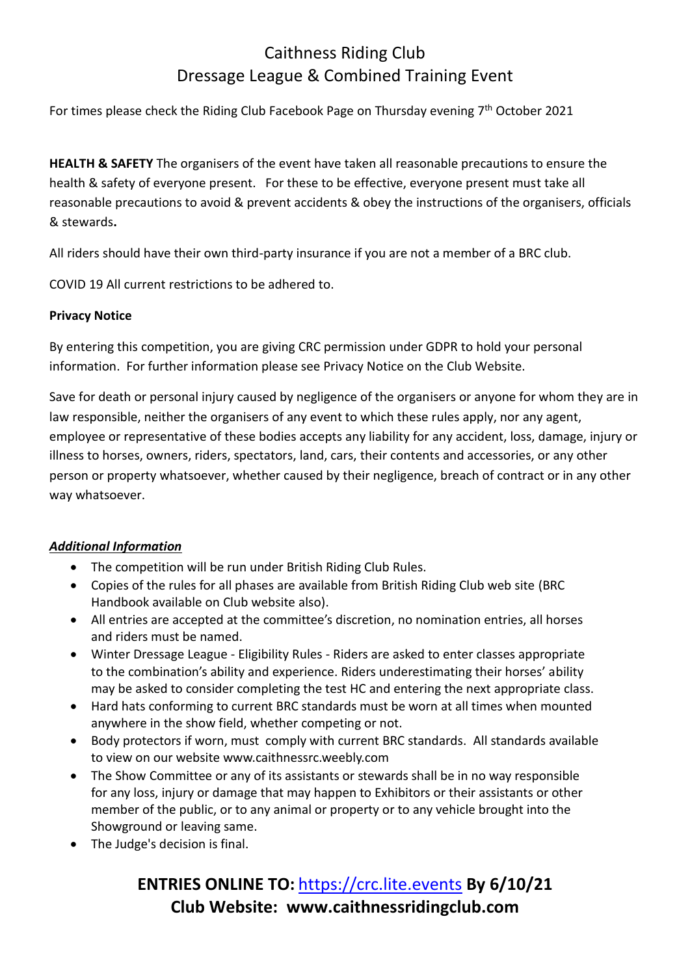# Caithness Riding Club Dressage League & Combined Training Event

For times please check the Riding Club Facebook Page on Thursday evening 7<sup>th</sup> October 2021

**HEALTH & SAFETY** The organisers of the event have taken all reasonable precautions to ensure the health & safety of everyone present. For these to be effective, everyone present must take all reasonable precautions to avoid & prevent accidents & obey the instructions of the organisers, officials & stewards**.**

All riders should have their own third-party insurance if you are not a member of a BRC club.

COVID 19 All current restrictions to be adhered to.

#### **Privacy Notice**

By entering this competition, you are giving CRC permission under GDPR to hold your personal information. For further information please see Privacy Notice on the Club Website.

Save for death or personal injury caused by negligence of the organisers or anyone for whom they are in law responsible, neither the organisers of any event to which these rules apply, nor any agent, employee or representative of these bodies accepts any liability for any accident, loss, damage, injury or illness to horses, owners, riders, spectators, land, cars, their contents and accessories, or any other person or property whatsoever, whether caused by their negligence, breach of contract or in any other way whatsoever.

#### *Additional Information*

- The competition will be run under British Riding Club Rules.
- Copies of the rules for all phases are available from British Riding Club web site (BRC Handbook available on Club website also).
- All entries are accepted at the committee's discretion, no nomination entries, all horses and riders must be named.
- Winter Dressage League Eligibility Rules Riders are asked to enter classes appropriate to the combination's ability and experience. Riders underestimating their horses' ability may be asked to consider completing the test HC and entering the next appropriate class.
- Hard hats conforming to current BRC standards must be worn at all times when mounted anywhere in the show field, whether competing or not.
- Body protectors if worn, must comply with current BRC standards. All standards available to view on our website www.caithnessrc.weebly.com
- The Show Committee or any of its assistants or stewards shall be in no way responsible for any loss, injury or damage that may happen to Exhibitors or their assistants or other member of the public, or to any animal or property or to any vehicle brought into the Showground or leaving same.
- The Judge's decision is final.

# **ENTRIES ONLINE TO:** [https://crc.lite.events](https://crc.lite.events/) **By 6/10/21 Club Website: www.caithnessridingclub.com**